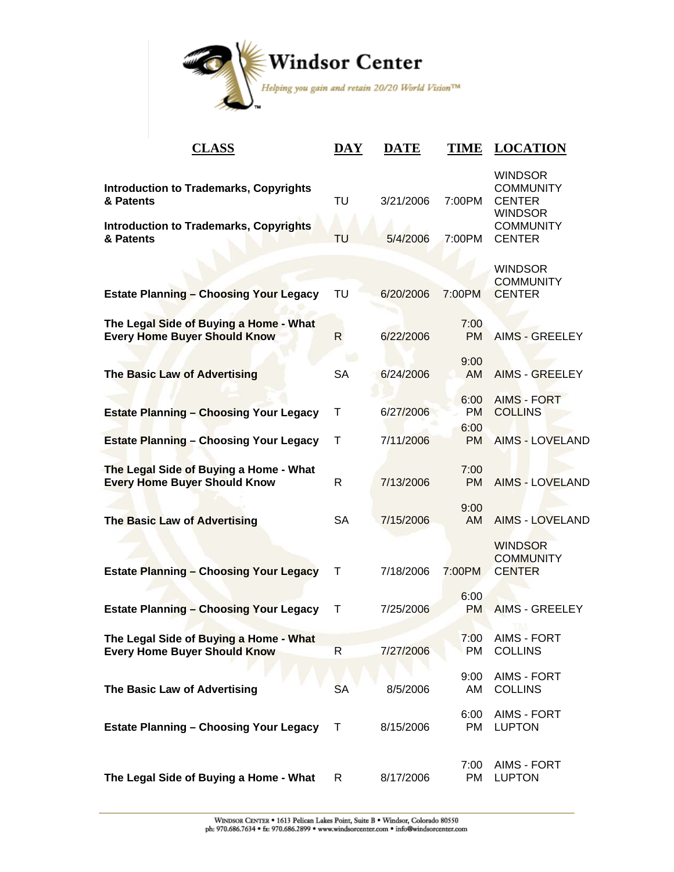

| <b>CLASS</b>                                                                                                             | <b>DAY</b>   | <b>DATE</b>           | <b>TIME</b>               | <b>LOCATION</b>                                                                                            |
|--------------------------------------------------------------------------------------------------------------------------|--------------|-----------------------|---------------------------|------------------------------------------------------------------------------------------------------------|
| <b>Introduction to Trademarks, Copyrights</b><br>& Patents<br><b>Introduction to Trademarks, Copyrights</b><br>& Patents | TU<br>TU     | 3/21/2006<br>5/4/2006 | 7:00PM<br>7:00PM          | <b>WINDSOR</b><br><b>COMMUNITY</b><br><b>CENTER</b><br><b>WINDSOR</b><br><b>COMMUNITY</b><br><b>CENTER</b> |
| <b>Estate Planning - Choosing Your Legacy</b>                                                                            | TU           | 6/20/2006             | 7:00PM                    | <b>WINDSOR</b><br><b>COMMUNITY</b><br><b>CENTER</b>                                                        |
| The Legal Side of Buying a Home - What<br><b>Every Home Buyer Should Know</b>                                            | $\mathsf{R}$ | 6/22/2006             | 7:00<br><b>PM</b>         | <b>AIMS - GREELEY</b>                                                                                      |
| <b>The Basic Law of Advertising</b>                                                                                      | <b>SA</b>    | 6/24/2006             | 9:00<br>AM                | <b>AIMS - GREELEY</b>                                                                                      |
| <b>Estate Planning - Choosing Your Legacy</b>                                                                            | Т            | 6/27/2006             | 6:00<br><b>PM</b><br>6:00 | <b>AIMS - FORT</b><br><b>COLLINS</b>                                                                       |
| <b>Estate Planning - Choosing Your Legacy</b>                                                                            | T            | 7/11/2006             | <b>PM</b>                 | <b>AIMS - LOVELAND</b>                                                                                     |
| The Legal Side of Buying a Home - What<br><b>Every Home Buyer Should Know</b>                                            | $\mathsf{R}$ | 7/13/2006             | 7:00<br><b>PM</b>         | <b>AIMS - LOVELAND</b>                                                                                     |
| <b>The Basic Law of Advertising</b>                                                                                      | <b>SA</b>    | 7/15/2006             | 9:00<br>AM                | <b>AIMS - LOVELAND</b>                                                                                     |
| <b>Estate Planning - Choosing Your Legacy</b>                                                                            | Т            | 7/18/2006             | 7:00PM                    | <b>WINDSOR</b><br><b>COMMUNITY</b><br><b>CENTER</b>                                                        |
| <b>Estate Planning - Choosing Your Legacy</b>                                                                            | $\top$       | 7/25/2006             | 6:00<br>PM                | <b>AIMS - GREELEY</b>                                                                                      |
| The Legal Side of Buying a Home - What<br><b>Every Home Buyer Should Know</b>                                            | R            | 7/27/2006             | 7:00<br>PM                | AIMS - FORT<br><b>COLLINS</b>                                                                              |
| The Basic Law of Advertising                                                                                             | <b>SA</b>    | 8/5/2006              | 9:00<br>AM                | <b>AIMS - FORT</b><br><b>COLLINS</b>                                                                       |
| <b>Estate Planning - Choosing Your Legacy</b>                                                                            | $\mathsf{T}$ | 8/15/2006             | 6:00<br>PM                | <b>AIMS - FORT</b><br><b>LUPTON</b>                                                                        |
| The Legal Side of Buying a Home - What                                                                                   | R            | 8/17/2006             | 7:00<br>PM                | AIMS - FORT<br><b>LUPTON</b>                                                                               |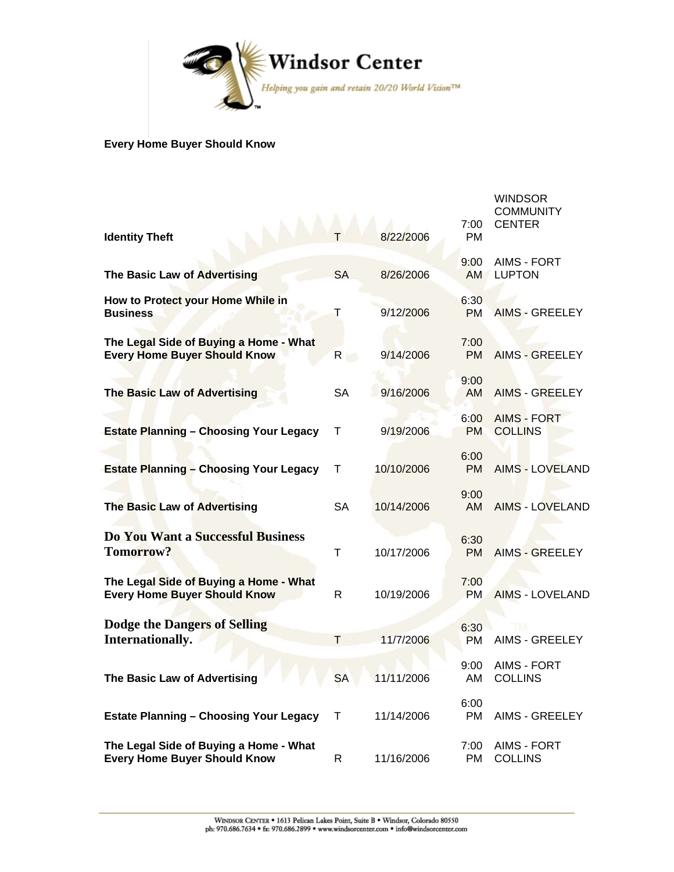

## **Every Home Buyer Should Know**

| <b>Identity Theft</b>                                                         |               | 8/22/2006  | 7:00<br>PM        | <b>WINDSOR</b><br><b>COMMUNITY</b><br><b>CENTER</b> |
|-------------------------------------------------------------------------------|---------------|------------|-------------------|-----------------------------------------------------|
| The Basic Law of Advertising                                                  | <b>SA</b>     | 8/26/2006  | 9:00<br><b>AM</b> | AIMS - FORT<br><b>LUPTON</b>                        |
| How to Protect your Home While in<br><b>Business</b>                          | Т             | 9/12/2006  | 6:30<br><b>PM</b> | <b>AIMS - GREELEY</b>                               |
| The Legal Side of Buying a Home - What<br><b>Every Home Buyer Should Know</b> | $R_{\rm max}$ | 9/14/2006  | 7:00<br><b>PM</b> | AIMS - GREELEY                                      |
| <b>The Basic Law of Advertising</b>                                           | <b>SA</b>     | 9/16/2006  | 9:00<br>AM        | <b>AIMS - GREELEY</b>                               |
| <b>Estate Planning - Choosing Your Legacy</b>                                 | т             | 9/19/2006  | 6:00<br><b>PM</b> | <b>AIMS - FORT</b><br><b>COLLINS</b>                |
| <b>Estate Planning - Choosing Your Legacy</b>                                 | Τ             | 10/10/2006 | 6:00<br><b>PM</b> | <b>AIMS - LOVELAND</b>                              |
| <b>The Basic Law of Advertising</b>                                           | <b>SA</b>     | 10/14/2006 | 9:00<br>AM        | <b>AIMS - LOVELAND</b>                              |
| Do You Want a Successful Business<br>Tomorrow?                                | Τ             | 10/17/2006 | 6:30<br><b>PM</b> | <b>AIMS - GREELEY</b>                               |
| The Legal Side of Buying a Home - What<br><b>Every Home Buyer Should Know</b> | R.            | 10/19/2006 | 7:00<br><b>PM</b> | <b>AIMS - LOVELAND</b>                              |
| <b>Dodge the Dangers of Selling</b><br>Internationally.                       | т             | 11/7/2006  | 6:30<br><b>PM</b> | <b>AIMS - GREELEY</b>                               |
| The Basic Law of Advertising                                                  | <b>SA</b>     | 11/11/2006 | 9:00<br>AM        | AIMS - FORT<br><b>COLLINS</b>                       |
| <b>Estate Planning - Choosing Your Legacy</b>                                 | T             | 11/14/2006 | 6:00<br>PM        | AIMS - GREELEY                                      |
| The Legal Side of Buying a Home - What<br><b>Every Home Buyer Should Know</b> | R             | 11/16/2006 | 7:00<br>PM.       | AIMS - FORT<br>COLLINS                              |